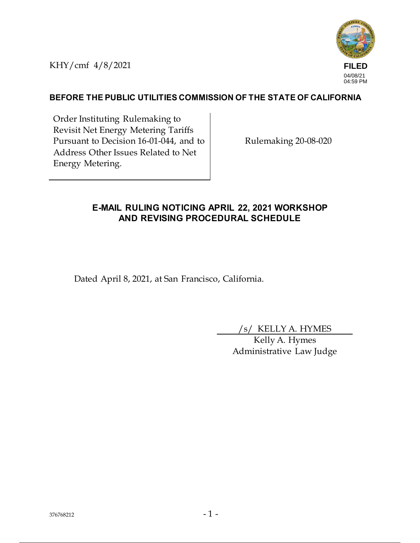KHY/cmf 4/8/2021



## **BEFORE THE PUBLIC UTILITIES COMMISSION OF THE STATE OF CALIFORNIA**

Order Instituting Rulemaking to Revisit Net Energy Metering Tariffs Pursuant to Decision 16-01-044, and to Address Other Issues Related to Net Energy Metering.

Rulemaking 20-08-020

## **E-MAIL RULING NOTICING APRIL 22, 2021 WORKSHOP AND REVISING PROCEDURAL SCHEDULE**

Dated April 8, 2021, at San Francisco, California.

/s/ KELLY A. HYMES

Kelly A. Hymes Administrative Law Judge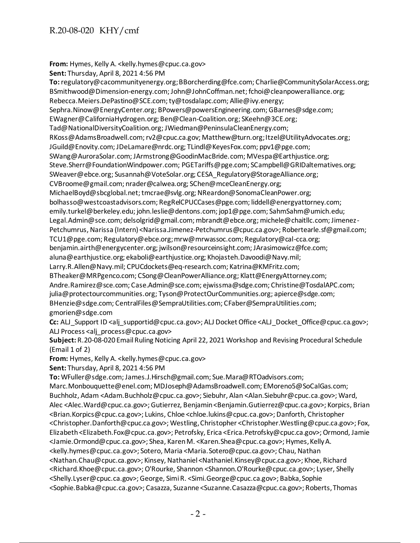From: Hymes, Kelly A. < kelly.hymes@cpuc.ca.gov>

**Sent:** Thursday, April 8, 2021 4:56 PM

**To:**regulatory@cacommunityenergy.org; BBorcherding@fce.com; Charlie@CommunitySolarAccess.org; BSmithwood@Dimension-energy.com; John@JohnCoffman.net; fchoi@cleanpoweralliance.org; Rebecca.Meiers.DePastino@SCE.com; ty@tosdalapc.com; Allie@ivy.energy; Sephra.Ninow@EnergyCenter.org; BPowers@powersEngineering.com; GBarnes@sdge.com; EWagner@CaliforniaHydrogen.org; Ben@Clean-Coalition.org; SKeehn@3CE.org; Tad@NationalDiversityCoalition.org; JWiedman@PeninsulaCleanEnergy.com; RKoss@AdamsBroadwell.com; rv2@cpuc.ca.gov; Matthew@turn.org; Itzel@UtilityAdvocates.org; JGuild@Enovity.com; JDeLamare@nrdc.org; TLindl@KeyesFox.com; ppv1@pge.com; SWang@AuroraSolar.com; JArmstrong@GoodinMacBride.com; MVespa@Earthjustice.org; Steve.Sherr@FoundationWindpower.com; PGETariffs@pge.com; SCampbell@GRIDalternatives.org; SWeaver@ebce.org; Susannah@VoteSolar.org; CESA\_Regulatory@StorageAlliance.org; CVBroome@gmail.com; nrader@calwea.org; SChen@mceCleanEnergy.org; MichaelBoyd@sbcglobal.net; tmcrae@svlg.org; NReardon@SonomaCleanPower.org; bolhasso@westcoastadvisors.com; RegRelCPUCCases@pge.com; liddell@energyattorney.com; emily.turkel@berkeley.edu; john.leslie@dentons.com; jop1@pge.com; SahmSahm@umich.edu; Legal.Admin@sce.com; delsolgrid@gmail.com; mbrandt@ebce.org; michele@chaitllc.com; Jimenez-Petchumrus, Narissa (Intern) <Narissa.Jimenez-Petchumrus@cpuc.ca.gov>; Robertearle.sf@gmail.com; TCU1@pge.com; Regulatory@ebce.org; mrw@mrwassoc.com; Regulatory@cal-cca.org; benjamin.airth@energycenter.org; jwilson@resourceinsight.com; JArasimowicz@fce.com; aluna@earthjustice.org; ekaboli@earthjustice.org; Khojasteh.Davoodi@Navy.mil; Larry.R.Allen@Navy.mil; CPUCdockets@eq-research.com; Katrina@KMFritz.com; BTheaker@MRPgenco.com; CSong@CleanPowerAlliance.org; Klatt@EnergyAttorney.com; Andre.Ramirez@sce.com; Case.Admin@sce.com; ejwissma@sdge.com; Christine@TosdalAPC.com; julia@protectourcommunities.org; Tyson@ProtectOurCommunities.org; apierce@sdge.com; BHenzie@sdge.com; CentralFiles@SempraUtilities.com; CFaber@SempraUtilities.com; gmorien@sdge.com **Cc:** ALJ\_Support ID <alj\_supportid@cpuc.ca.gov>; ALJ Docket Office <ALJ\_Docket\_Office@cpuc.ca.gov>; ALJ Process <alj\_process@cpuc.ca.gov> **Subject:** R.20-08-020 Email Ruling Noticing April 22, 2021 Workshop and Revising Procedural Schedule (Email 1 of 2) **From:** Hymes, Kelly A. < kelly.hymes@cpuc.ca.gov> **Sent:** Thursday, April 8, 2021 4:56 PM **To:** WFuller@sdge.com; James.J.Hirsch@gmail.com; Sue.Mara@RTOadvisors.com; Marc.Monbouquette@enel.com; MDJoseph@AdamsBroadwell.com; EMoreno5@SoCalGas.com;

Buchholz, Adam <Adam.Buchholz@cpuc.ca.gov>; Siebuhr, Alan <Alan.Siebuhr@cpuc.ca.gov>; Ward, Alec <Alec.Ward@cpuc.ca.gov>; Gutierrez, Benjamin <Benjamin.Gutierrez@cpuc.ca.gov>; Korpics, Brian <Brian.Korpics@cpuc.ca.gov>; Lukins, Chloe <chloe.lukins@cpuc.ca.gov>; Danforth, Christopher <Christopher.Danforth@cpuc.ca.gov>; Westling, Christopher <Christopher.Westling@cpuc.ca.gov>; Fox, Elizabeth <Elizabeth.Fox@cpuc.ca.gov>; Petrofsky, Erica <Erica.Petrofsky@cpuc.ca.gov>; Ormond, Jamie <Jamie.Ormond@cpuc.ca.gov>; Shea, Karen M. <Karen.Shea@cpuc.ca.gov>; Hymes, Kelly A. <kelly.hymes@cpuc.ca.gov>; Sotero, Maria <Maria.Sotero@cpuc.ca.gov>; Chau, Nathan <Nathan.Chau@cpuc.ca.gov>; Kinsey, Nathaniel <Nathaniel.Kinsey@cpuc.ca.gov>; Khoe, Richard <Richard.Khoe@cpuc.ca.gov>; O'Rourke, Shannon <Shannon.O'Rourke@cpuc.ca.gov>; Lyser, Shelly <Shelly.Lyser@cpuc.ca.gov>; George, Simi R. <Simi.George@cpuc.ca.gov>; Babka, Sophie <Sophie.Babka@cpuc.ca.gov>; Casazza, Suzanne <Suzanne.Casazza@cpuc.ca.gov>; Roberts, Thomas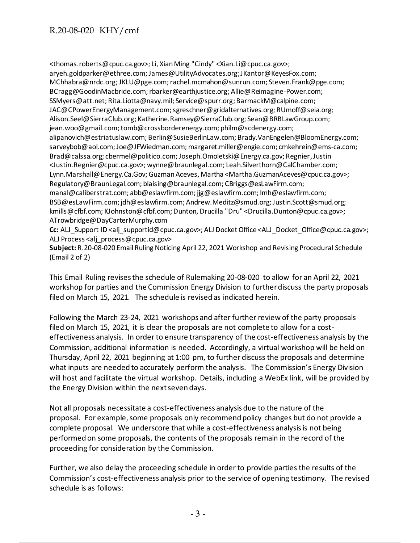<thomas.roberts@cpuc.ca.gov>; Li, Xian Ming "Cindy" <Xian.Li@cpuc.ca.gov>; aryeh.goldparker@ethree.com; James@UtilityAdvocates.org; JKantor@KeyesFox.com; MChhabra@nrdc.org; JKLU@pge.com; rachel.mcmahon@sunrun.com; Steven.Frank@pge.com; BCragg@GoodinMacbride.com; rbarker@earthjustice.org; Allie@Reimagine-Power.com; SSMyers@att.net; Rita.Liotta@navy.mil; Service@spurr.org; BarmackM@calpine.com; JAC@CPowerEnergyManagement.com; sgreschner@gridalternatives.org; RUmoff@seia.org; Alison.Seel@SierraClub.org; Katherine.Ramsey@SierraClub.org; Sean@BRBLawGroup.com; jean.woo@gmail.com; tomb@crossborderenergy.com; philm@scdenergy.com; alipanovich@estriatuslaw.com; Berlin@SusieBerlinLaw.com; Brady.VanEngelen@BloomEnergy.com; sarveybob@aol.com; Joe@JFWiedman.com; margaret.miller@engie.com; cmkehrein@ems-ca.com; Brad@calssa.org; cbermel@politico.com; Joseph.Omoletski@Energy.ca.gov; Regnier, Justin <Justin.Regnier@cpuc.ca.gov>; wynne@braunlegal.com; Leah.Silverthorn@CalChamber.com; Lynn.Marshall@Energy.Ca.Gov; Guzman Aceves, Martha <Martha.GuzmanAceves@cpuc.ca.gov>; Regulatory@BraunLegal.com; blaising@braunlegal.com; CBriggs@esLawFirm.com; manal@caliberstrat.com; abb@eslawfirm.com; jjg@eslawfirm.com; lmh@eslawfirm.com; BSB@esLawFirm.com; jdh@eslawfirm.com; Andrew.Meditz@smud.org; Justin.Scott@smud.org; kmills@cfbf.com; KJohnston@cfbf.com; Dunton, Drucilla "Dru" <Drucilla.Dunton@cpuc.ca.gov>; ATrowbridge@DayCarterMurphy.com

**Cc:** ALJ\_Support ID <alj\_supportid@cpuc.ca.gov>; ALJ Docket Office <ALJ\_Docket\_Office@cpuc.ca.gov>; ALJ Process <alj\_process@cpuc.ca.gov>

**Subject:** R.20-08-020 Email Ruling Noticing April 22, 2021 Workshop and Revising Procedural Schedule (Email 2 of 2)

This Email Ruling revises the schedule of Rulemaking 20-08-020 to allow for an April 22, 2021 workshop for parties and the Commission Energy Division to further discuss the party proposals filed on March 15, 2021. The schedule is revised as indicated herein.

Following the March 23-24, 2021 workshops and after further review of the party proposals filed on March 15, 2021, it is clear the proposals are not complete to allow for a costeffectiveness analysis. In order to ensure transparency of the cost-effectiveness analysis by the Commission, additional information is needed. Accordingly, a virtual workshop will be held on Thursday, April 22, 2021 beginning at 1:00 pm, to further discuss the proposals and determine what inputs are needed to accurately perform the analysis. The Commission's Energy Division will host and facilitate the virtual workshop. Details, including a WebEx link, will be provided by the Energy Division within the next seven days.

Not all proposals necessitate a cost-effectiveness analysis due to the nature of the proposal. For example, some proposals only recommend policy changes but do not provide a complete proposal. We underscore that while a cost-effectiveness analysis is not being performed on some proposals, the contents of the proposals remain in the record of the proceeding for consideration by the Commission.

Further, we also delay the proceeding schedule in order to provide parties the results of the Commission's cost-effectiveness analysis prior to the service of opening testimony. The revised schedule is as follows: